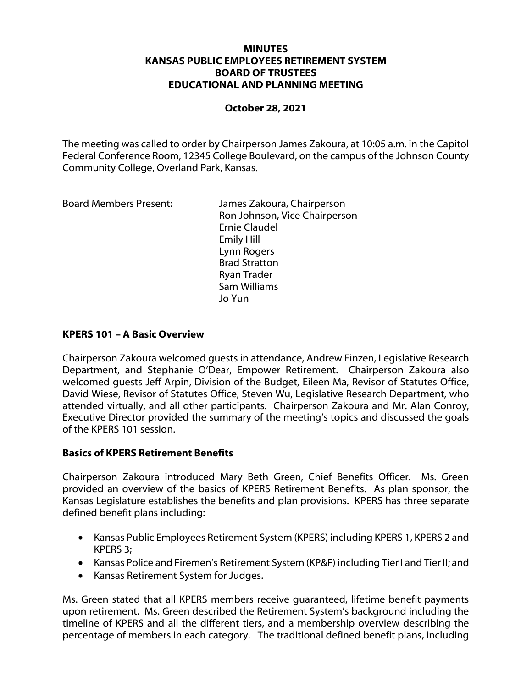## **MINUTES KANSAS PUBLIC EMPLOYEES RETIREMENT SYSTEM BOARD OF TRUSTEES EDUCATIONAL AND PLANNING MEETING**

## **October 28, 2021**

The meeting was called to order by Chairperson James Zakoura, at 10:05 a.m. in the Capitol Federal Conference Room, 12345 College Boulevard, on the campus of the Johnson County Community College, Overland Park, Kansas.

Board Members Present: James Zakoura, Chairperson Ron Johnson, Vice Chairperson Ernie Claudel Emily Hill Lynn Rogers Brad Stratton Ryan Trader Sam Williams Jo Yun

## **KPERS 101 – A Basic Overview**

Chairperson Zakoura welcomed guests in attendance, Andrew Finzen, Legislative Research Department, and Stephanie O'Dear, Empower Retirement. Chairperson Zakoura also welcomed guests Jeff Arpin, Division of the Budget, Eileen Ma, Revisor of Statutes Office, David Wiese, Revisor of Statutes Office, Steven Wu, Legislative Research Department, who attended virtually, and all other participants. Chairperson Zakoura and Mr. Alan Conroy, Executive Director provided the summary of the meeting's topics and discussed the goals of the KPERS 101 session.

#### **Basics of KPERS Retirement Benefits**

Chairperson Zakoura introduced Mary Beth Green, Chief Benefits Officer. Ms. Green provided an overview of the basics of KPERS Retirement Benefits. As plan sponsor, the Kansas Legislature establishes the benefits and plan provisions. KPERS has three separate defined benefit plans including:

- Kansas Public Employees Retirement System (KPERS) including KPERS 1, KPERS 2 and KPERS 3;
- Kansas Police and Firemen's Retirement System (KP&F) including Tier I and Tier II; and
- Kansas Retirement System for Judges.

Ms. Green stated that all KPERS members receive guaranteed, lifetime benefit payments upon retirement. Ms. Green described the Retirement System's background including the timeline of KPERS and all the different tiers, and a membership overview describing the percentage of members in each category. The traditional defined benefit plans, including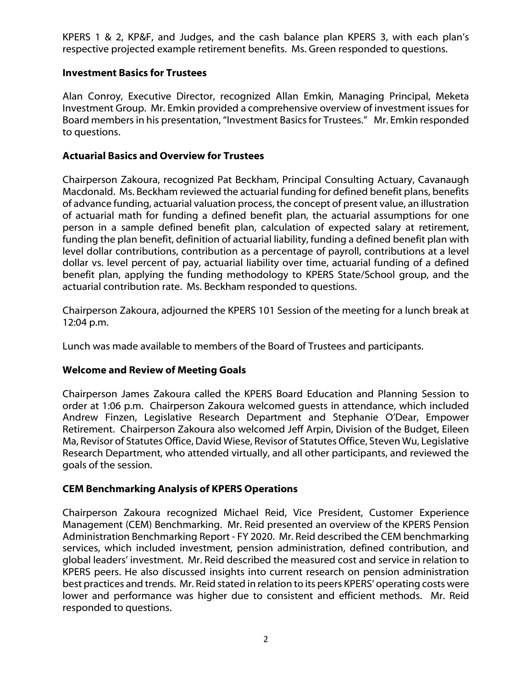KPERS 1 & 2, KP&F, and Judges, and the cash balance plan KPERS 3, with each plan's respective projected example retirement benefits. Ms. Green responded to questions.

## **Investment Basics for Trustees**

Alan Conroy, Executive Director, recognized Allan Emkin, Managing Principal, Meketa Investment Group. Mr. Emkin provided a comprehensive overview of investment issues for Board members in his presentation, "Investment Basics for Trustees." Mr. Emkin responded to questions.

## **Actuarial Basics and Overview for Trustees**

Chairperson Zakoura, recognized Pat Beckham, Principal Consulting Actuary, Cavanaugh Macdonald. Ms. Beckham reviewed the actuarial funding for defined benefit plans, benefits of advance funding, actuarial valuation process, the concept of present value, an illustration of actuarial math for funding a defined benefit plan, the actuarial assumptions for one person in a sample defined benefit plan, calculation of expected salary at retirement, funding the plan benefit, definition of actuarial liability, funding a defined benefit plan with level dollar contributions, contribution as a percentage of payroll, contributions at a level dollar vs. level percent of pay, actuarial liability over time, actuarial funding of a defined benefit plan, applying the funding methodology to KPERS State/School group, and the actuarial contribution rate. Ms. Beckham responded to questions.

Chairperson Zakoura, adjourned the KPERS 101 Session of the meeting for a lunch break at 12:04 p.m.

Lunch was made available to members of the Board of Trustees and participants.

# **Welcome and Review of Meeting Goals**

Chairperson James Zakoura called the KPERS Board Education and Planning Session to order at 1:06 p.m. Chairperson Zakoura welcomed guests in attendance, which included Andrew Finzen, Legislative Research Department and Stephanie O'Dear, Empower Retirement. Chairperson Zakoura also welcomed Jeff Arpin, Division of the Budget, Eileen Ma, Revisor of Statutes Office, David Wiese, Revisor of Statutes Office, Steven Wu, Legislative Research Department, who attended virtually, and all other participants, and reviewed the goals of the session.

# **CEM Benchmarking Analysis of KPERS Operations**

Chairperson Zakoura recognized Michael Reid, Vice President, Customer Experience Management (CEM) Benchmarking. Mr. Reid presented an overview of the KPERS Pension Administration Benchmarking Report - FY 2020. Mr. Reid described the CEM benchmarking services, which included investment, pension administration, defined contribution, and global leaders' investment. Mr. Reid described the measured cost and service in relation to KPERS peers. He also discussed insights into current research on pension administration best practices and trends. Mr. Reid stated in relation to its peers KPERS' operating costs were lower and performance was higher due to consistent and efficient methods. Mr. Reid responded to questions.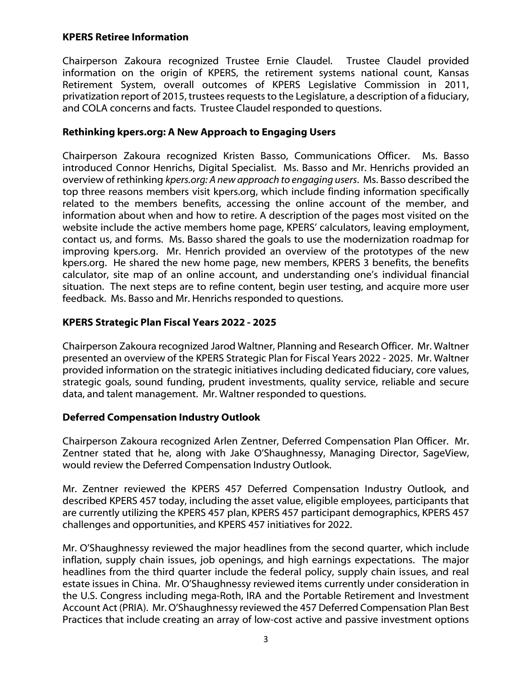## **KPERS Retiree Information**

Chairperson Zakoura recognized Trustee Ernie Claudel. Trustee Claudel provided information on the origin of KPERS, the retirement systems national count, Kansas Retirement System, overall outcomes of KPERS Legislative Commission in 2011, privatization report of 2015, trustees requests to the Legislature, a description of a fiduciary, and COLA concerns and facts. Trustee Claudel responded to questions.

# **Rethinking kpers.org: A New Approach to Engaging Users**

Chairperson Zakoura recognized Kristen Basso, Communications Officer. Ms. Basso introduced Connor Henrichs, Digital Specialist. Ms. Basso and Mr. Henrichs provided an overview of rethinking *kpers.org: A new approach to engaging users*. Ms. Basso described the top three reasons members visit kpers.org, which include finding information specifically related to the members benefits, accessing the online account of the member, and information about when and how to retire. A description of the pages most visited on the website include the active members home page, KPERS' calculators, leaving employment, contact us, and forms. Ms. Basso shared the goals to use the modernization roadmap for improving kpers.org. Mr. Henrich provided an overview of the prototypes of the new kpers.org. He shared the new home page, new members, KPERS 3 benefits, the benefits calculator, site map of an online account, and understanding one's individual financial situation. The next steps are to refine content, begin user testing, and acquire more user feedback. Ms. Basso and Mr. Henrichs responded to questions.

# **KPERS Strategic Plan Fiscal Years 2022 - 2025**

Chairperson Zakoura recognized Jarod Waltner, Planning and Research Officer. Mr. Waltner presented an overview of the KPERS Strategic Plan for Fiscal Years 2022 - 2025. Mr. Waltner provided information on the strategic initiatives including dedicated fiduciary, core values, strategic goals, sound funding, prudent investments, quality service, reliable and secure data, and talent management. Mr. Waltner responded to questions.

# **Deferred Compensation Industry Outlook**

Chairperson Zakoura recognized Arlen Zentner, Deferred Compensation Plan Officer. Mr. Zentner stated that he, along with Jake O'Shaughnessy, Managing Director, SageView, would review the Deferred Compensation Industry Outlook.

Mr. Zentner reviewed the KPERS 457 Deferred Compensation Industry Outlook, and described KPERS 457 today, including the asset value, eligible employees, participants that are currently utilizing the KPERS 457 plan, KPERS 457 participant demographics, KPERS 457 challenges and opportunities, and KPERS 457 initiatives for 2022.

Mr. O'Shaughnessy reviewed the major headlines from the second quarter, which include inflation, supply chain issues, job openings, and high earnings expectations. The major headlines from the third quarter include the federal policy, supply chain issues, and real estate issues in China. Mr. O'Shaughnessy reviewed items currently under consideration in the U.S. Congress including mega-Roth, IRA and the Portable Retirement and Investment Account Act (PRIA). Mr. O'Shaughnessy reviewed the 457 Deferred Compensation Plan Best Practices that include creating an array of low-cost active and passive investment options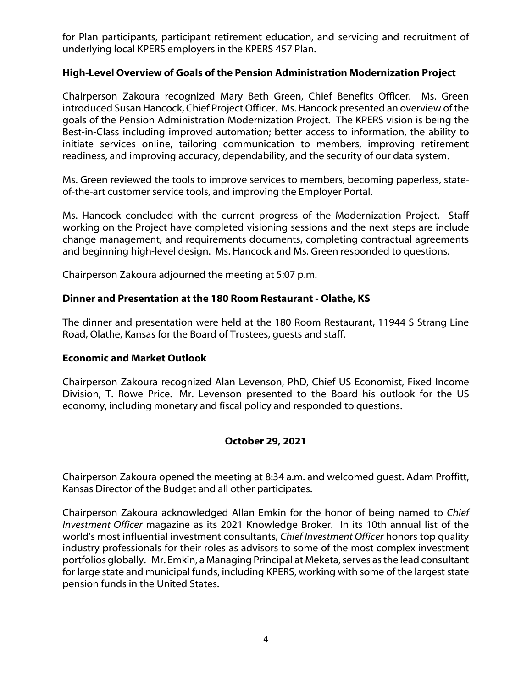for Plan participants, participant retirement education, and servicing and recruitment of underlying local KPERS employers in the KPERS 457 Plan.

# **High-Level Overview of Goals of the Pension Administration Modernization Project**

Chairperson Zakoura recognized Mary Beth Green, Chief Benefits Officer. Ms. Green introduced Susan Hancock, Chief Project Officer. Ms. Hancock presented an overview of the goals of the Pension Administration Modernization Project. The KPERS vision is being the Best-in-Class including improved automation; better access to information, the ability to initiate services online, tailoring communication to members, improving retirement readiness, and improving accuracy, dependability, and the security of our data system.

Ms. Green reviewed the tools to improve services to members, becoming paperless, stateof-the-art customer service tools, and improving the Employer Portal.

Ms. Hancock concluded with the current progress of the Modernization Project. Staff working on the Project have completed visioning sessions and the next steps are include change management, and requirements documents, completing contractual agreements and beginning high-level design. Ms. Hancock and Ms. Green responded to questions.

Chairperson Zakoura adjourned the meeting at 5:07 p.m.

# **Dinner and Presentation at the 180 Room Restaurant - Olathe, KS**

The dinner and presentation were held at the 180 Room Restaurant, 11944 S Strang Line Road, Olathe, Kansas for the Board of Trustees, guests and staff.

# **Economic and Market Outlook**

Chairperson Zakoura recognized Alan Levenson, PhD, Chief US Economist, Fixed Income Division, T. Rowe Price. Mr. Levenson presented to the Board his outlook for the US economy, including monetary and fiscal policy and responded to questions.

# **October 29, 2021**

Chairperson Zakoura opened the meeting at 8:34 a.m. and welcomed guest. Adam Proffitt, Kansas Director of the Budget and all other participates.

Chairperson Zakoura acknowledged Allan Emkin for the honor of being named to *Chief Investment Officer* magazine as its 2021 Knowledge Broker. In its 10th annual list of the world's most influential investment consultants, *Chief Investment Officer* honors top quality industry professionals for their roles as advisors to some of the most complex investment portfolios globally. Mr. Emkin, a Managing Principal at Meketa, serves as the lead consultant for large state and municipal funds, including KPERS, working with some of the largest state pension funds in the United States.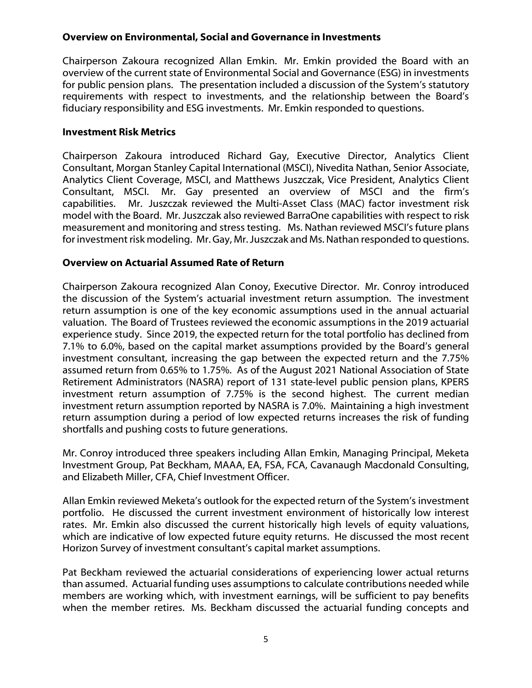# **Overview on Environmental, Social and Governance in Investments**

Chairperson Zakoura recognized Allan Emkin. Mr. Emkin provided the Board with an overview of the current state of Environmental Social and Governance (ESG) in investments for public pension plans. The presentation included a discussion of the System's statutory requirements with respect to investments, and the relationship between the Board's fiduciary responsibility and ESG investments. Mr. Emkin responded to questions.

# **Investment Risk Metrics**

Chairperson Zakoura introduced Richard Gay, Executive Director, Analytics Client Consultant, Morgan Stanley Capital International (MSCI), Nivedita Nathan, Senior Associate, Analytics Client Coverage, MSCI, and Matthews Juszczak, Vice President, Analytics Client Consultant, MSCI. Mr. Gay presented an overview of MSCI and the firm's capabilities. Mr. Juszczak reviewed the Multi-Asset Class (MAC) factor investment risk model with the Board. Mr. Juszczak also reviewed BarraOne capabilities with respect to risk measurement and monitoring and stress testing. Ms. Nathan reviewed MSCI's future plans for investment risk modeling. Mr. Gay, Mr. Juszczak and Ms. Nathan responded to questions.

# **Overview on Actuarial Assumed Rate of Return**

Chairperson Zakoura recognized Alan Conoy, Executive Director. Mr. Conroy introduced the discussion of the System's actuarial investment return assumption. The investment return assumption is one of the key economic assumptions used in the annual actuarial valuation. The Board of Trustees reviewed the economic assumptions in the 2019 actuarial experience study. Since 2019, the expected return for the total portfolio has declined from 7.1% to 6.0%, based on the capital market assumptions provided by the Board's general investment consultant, increasing the gap between the expected return and the 7.75% assumed return from 0.65% to 1.75%. As of the August 2021 National Association of State Retirement Administrators (NASRA) report of 131 state-level public pension plans, KPERS investment return assumption of 7.75% is the second highest. The current median investment return assumption reported by NASRA is 7.0%. Maintaining a high investment return assumption during a period of low expected returns increases the risk of funding shortfalls and pushing costs to future generations.

Mr. Conroy introduced three speakers including Allan Emkin, Managing Principal, Meketa Investment Group, Pat Beckham, MAAA, EA, FSA, FCA, Cavanaugh Macdonald Consulting, and Elizabeth Miller, CFA, Chief Investment Officer.

Allan Emkin reviewed Meketa's outlook for the expected return of the System's investment portfolio. He discussed the current investment environment of historically low interest rates. Mr. Emkin also discussed the current historically high levels of equity valuations, which are indicative of low expected future equity returns. He discussed the most recent Horizon Survey of investment consultant's capital market assumptions.

Pat Beckham reviewed the actuarial considerations of experiencing lower actual returns than assumed. Actuarial funding uses assumptions to calculate contributions needed while members are working which, with investment earnings, will be sufficient to pay benefits when the member retires. Ms. Beckham discussed the actuarial funding concepts and